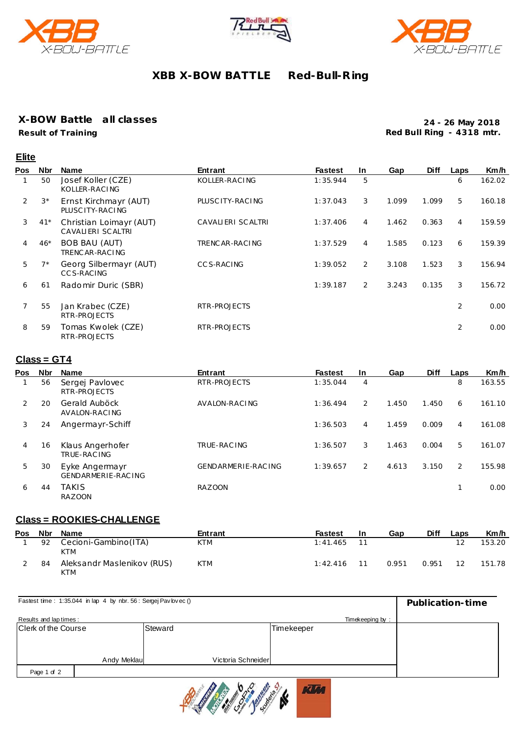





## **XBB X-BOW BATTLE Red-Bull-R ing**

### **X-BOW Battle all classes**

**Result of Training**

**Elite**

**24 - 26 May 2018 Red Bull Ring - 4318 mtr.**

| Pos | <b>Nbr</b>  | <b>Name</b>                                  | Entrant           | <b>Fastest</b> | In.            | Gap   | <b>Diff</b> | Laps           | Km/h   |
|-----|-------------|----------------------------------------------|-------------------|----------------|----------------|-------|-------------|----------------|--------|
|     | 50          | Josef Koller (CZE)<br>KOLLER-RACING          | KOLLER-RACING     | 1:35.944       | 5              |       |             | 6              | 162.02 |
| 2   | $3^{\star}$ | Ernst Kirchmayr (AUT)<br>PLUSC ITY-RACING    | PLUSC ITY-RACING  | 1:37.043       | 3              | 1.099 | 1.099       | 5              | 160.18 |
| 3   | $41*$       | Christian Loimayr (AUT)<br>CAVALIERI SCALTRI | CAVALIERI SCALTRI | 1:37.406       | 4              | 1.462 | 0.363       | 4              | 159.59 |
| 4   | $46*$       | <b>BOB BAU (AUT)</b><br>TRENCAR-RACING       | TRENC AR-RACING   | 1:37.529       | $\overline{4}$ | 1.585 | 0.123       | 6              | 159.39 |
| 5   | $7*$        | Georg Silbermayr (AUT)<br>CCS-RACING         | <b>CCS-RACING</b> | 1:39.052       | $\overline{2}$ | 3.108 | 1.523       | 3              | 156.94 |
| 6   | 61          | Radomir Duric (SBR)                          |                   | 1:39.187       | $\overline{2}$ | 3.243 | 0.135       | 3              | 156.72 |
|     | 55          | Jan Krabec (CZE)<br>RTR-PROJECTS             | RTR-PROJECTS      |                |                |       |             | $\overline{2}$ | 0.00   |
| 8   | 59          | Tomas Kwolek (CZE)<br>RTR-PROJECTS           | RTR-PROJECTS      |                |                |       |             | $\overline{2}$ | 0.00   |

## **Class = GT4**

| <b>Pos</b> | <b>Nbr</b> | <b>Name</b>                          | Entrant            | <b>Fastest</b> | <b>In</b> | Gap   | <b>Diff</b> | Laps | Km/h   |
|------------|------------|--------------------------------------|--------------------|----------------|-----------|-------|-------------|------|--------|
|            | 56         | Sergej Pavlovec<br>RTR-PROJECTS      | RTR-PROJECTS       | 1:35.044       | 4         |       |             | 8    | 163.55 |
| 2          | 20         | Gerald Auböck<br>AVALON-RACING       | AVALON-RACING      | 1:36.494       | 2         | 1.450 | 1.450       | 6    | 161.10 |
| 3          | 24         | Angermayr-Schiff                     |                    | 1:36.503       | 4         | 1.459 | 0.009       | 4    | 161.08 |
| 4          | 16         | Klaus Angerhofer<br>TRUE-RACING      | TRUE-RAC ING       | 1:36.507       | 3         | 1.463 | 0.004       | 5    | 161.07 |
| 5          | 30         | Eyke Angermayr<br>GENDARMERIE-RACING | GENDARMERIE-RACING | 1:39.657       | 2         | 4.613 | 3.150       | 2    | 155.98 |
| 6          | 44         | <b>TAKIS</b><br><b>RAZOON</b>        | <b>RAZOON</b>      |                |           |       |             |      | 0.00   |

#### **Class = ROOKIES-CHALLENGE**

| <b>Pos</b> | Nbr | Name                                | Entrant    | <b>Fastest</b> | 1n | Gap   | Diff  | Laps | Km/h   |
|------------|-----|-------------------------------------|------------|----------------|----|-------|-------|------|--------|
|            | 92  | Cecioni-Gambino (ITA)<br><b>KTM</b> | <b>KTM</b> | 1:41.465       |    |       |       |      | 153.20 |
|            | 84  | Aleksandr Maslenikov (RUS)<br>KTM   | <b>KTM</b> | 1:42.416       |    | 0.951 | 0.951 | 12   | 151.78 |

| Fastest time: 1:35.044 in lap 4 by nbr. 56: Sergej Pav lovec () | Publication-time |         |                    |            |  |  |
|-----------------------------------------------------------------|------------------|---------|--------------------|------------|--|--|
| Results and lap times:                                          |                  |         |                    |            |  |  |
| Clerk of the Course                                             |                  | Steward |                    | Timekeeper |  |  |
|                                                                 |                  |         |                    |            |  |  |
|                                                                 |                  |         |                    |            |  |  |
|                                                                 | Andy Meklaul     |         | Victoria Schneider |            |  |  |
| Page 1 of 2                                                     |                  |         |                    |            |  |  |